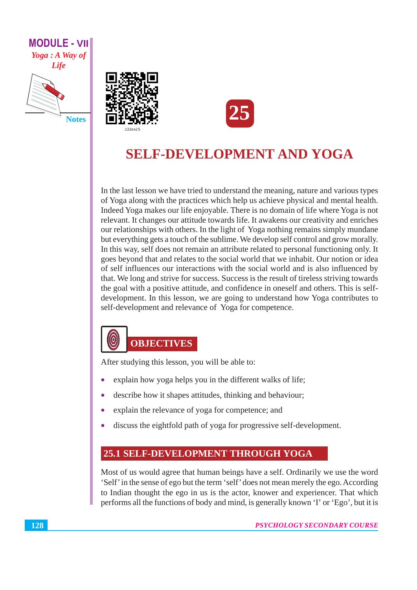

**Notes** 





# **SELF-DEVELOPMENT AND YOGA**

In the last lesson we have tried to understand the meaning, nature and various types of Yoga along with the practices which help us achieve physical and mental health. Indeed Yoga makes our life enjoyable. There is no domain of life where Yoga is not relevant. It changes our attitude towards life. It awakens our creativity and enriches our relationships with others. In the light of Yoga nothing remains simply mundane but everything gets a touch of the sublime. We develop self control and grow morally. In this way, self does not remain an attribute related to personal functioning only. It goes beyond that and relates to the social world that we inhabit. Our notion or idea of self influences our interactions with the social world and is also influenced by that. We long and strive for success. Success is the result of tireless striving towards the goal with a positive attitude, and confidence in oneself and others. This is selfdevelopment. In this lesson, we are going to understand how Yoga contributes to self-development and relevance of Yoga for competence.



After studying this lesson, you will be able to:

- explain how yoga helps you in the different walks of life;
- describe how it shapes attitudes, thinking and behaviour;
- explain the relevance of yoga for competence; and  $\bullet$
- discuss the eightfold path of yoga for progressive self-development.

#### **25.1 SELF-DEVELOPMENT THROUGH YOGA**

Most of us would agree that human beings have a self. Ordinarily we use the word 'Self' in the sense of ego but the term 'self' does not mean merely the ego. According to Indian thought the ego in us is the actor, knower and experiencer. That which performs all the functions of body and mind, is generally known 'I' or 'Ego', but it is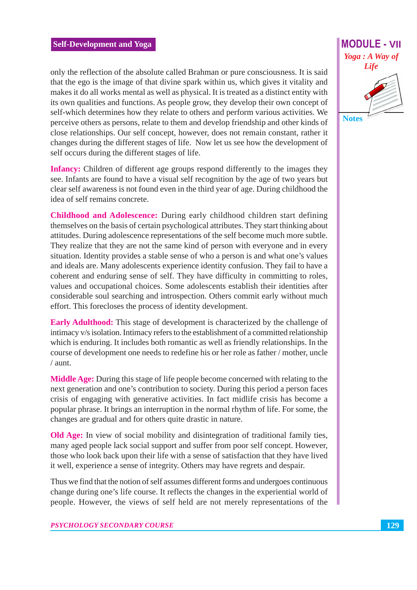only the reflection of the absolute called Brahman or pure consciousness. It is said that the ego is the image of that divine spark within us, which gives it vitality and makes it do all works mental as well as physical. It is treated as a distinct entity with its own qualities and functions. As people grow, they develop their own concept of self-which determines how they relate to others and perform various activities. We perceive others as persons, relate to them and develop friendship and other kinds of close relationships. Our self concept, however, does not remain constant, rather it changes during the different stages of life. Now let us see how the development of self occurs during the different stages of life.

**Infancy:** Children of different age groups respond differently to the images they see. Infants are found to have a visual self recognition by the age of two years but clear self awareness is not found even in the third year of age. During childhood the idea of self remains concrete

Childhood and Adolescence: During early childhood children start defining themselves on the basis of certain psychological attributes. They start thinking about attitudes. During adolescence representations of the self become much more subtle. They realize that they are not the same kind of person with everyone and in every situation. Identity provides a stable sense of who a person is and what one's values and ideals are. Many adolescents experience identity confusion. They fail to have a coherent and enduring sense of self. They have difficulty in committing to roles, values and occupational choices. Some adolescents establish their identities after considerable soul searching and introspection. Others commit early without much effort. This forecloses the process of identity development.

**Early Adulthood:** This stage of development is characterized by the challenge of intimacy v/s isolation. Intimacy refers to the establishment of a committed relationship which is enduring. It includes both romantic as well as friendly relationships. In the course of development one needs to redefine his or her role as father / mother, uncle  $/$  aunt.

Middle Age: During this stage of life people become concerned with relating to the next generation and one's contribution to society. During this period a person faces crisis of engaging with generative activities. In fact midlife crisis has become a popular phrase. It brings an interruption in the normal rhythm of life. For some, the changes are gradual and for others quite drastic in nature.

**Old Age:** In view of social mobility and disintegration of traditional family ties, many aged people lack social support and suffer from poor self concept. However, those who look back upon their life with a sense of satisfaction that they have lived it well, experience a sense of integrity. Others may have regrets and despair.

Thus we find that the notion of self assumes different forms and undergoes continuous change during one's life course. It reflects the changes in the experiential world of people. However, the views of self held are not merely representations of the



**Notes**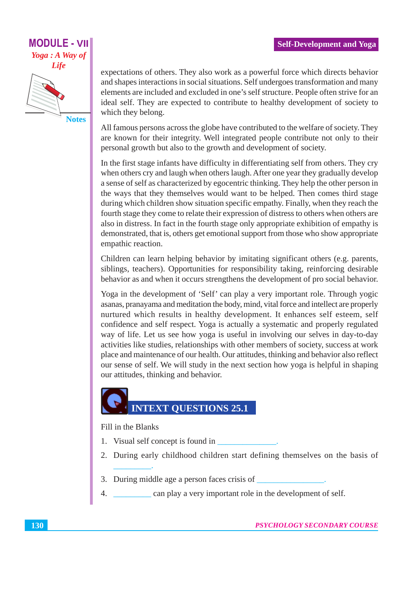## **MODULE - VII** Yoga: A Way of **Life**

**Notes** 

expectations of others. They also work as a powerful force which directs behavior and shapes interactions in social situations. Self undergoes transformation and many elements are included and excluded in one's self structure. People often strive for an ideal self. They are expected to contribute to healthy development of society to which they belong.

All famous persons across the globe have contributed to the welfare of society. They are known for their integrity. Well integrated people contribute not only to their personal growth but also to the growth and development of society.

In the first stage infants have difficulty in differentiating self from others. They cry when others cry and laugh when others laugh. After one year they gradually develop a sense of self as characterized by egocentric thinking. They help the other person in the ways that they themselves would want to be helped. Then comes third stage during which children show situation specific empathy. Finally, when they reach the fourth stage they come to relate their expression of distress to others when others are also in distress. In fact in the fourth stage only appropriate exhibition of empathy is demonstrated, that is, others get emotional support from those who show appropriate empathic reaction.

Children can learn helping behavior by imitating significant others (e.g. parents, siblings, teachers). Opportunities for responsibility taking, reinforcing desirable behavior as and when it occurs strengthens the development of pro social behavior.

Yoga in the development of 'Self' can play a very important role. Through yogic asanas, pranayama and meditation the body, mind, vital force and intellect are properly nurtured which results in healthy development. It enhances self esteem, self confidence and self respect. Yoga is actually a systematic and properly regulated way of life. Let us see how yoga is useful in involving our selves in day-to-day activities like studies, relationships with other members of society, success at work place and maintenance of our health. Our attitudes, thinking and behavior also reflect our sense of self. We will study in the next section how yoga is helpful in shaping our attitudes, thinking and behavior.

# **INTEXT QUESTIONS 25.1**

#### Fill in the Blanks

- 1. Visual self concept is found in
- 2. During early childhood children start defining themselves on the basis of
- 3. During middle age a person faces crisis of
- $\overline{4}$ . \_ can play a very important role in the development of self.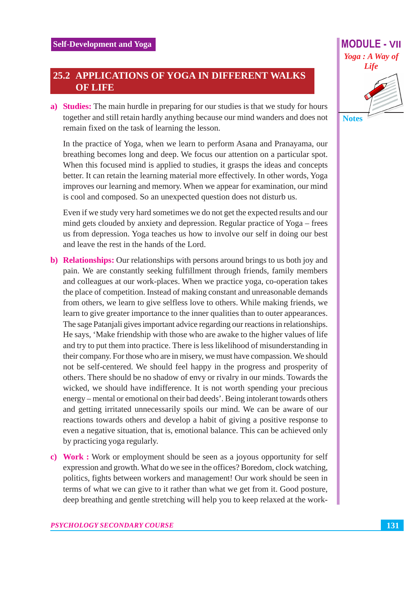#### **25.2 APPLICATIONS OF YOGA IN DIFFERENT WALKS OF LIFE**

a) Studies: The main hurdle in preparing for our studies is that we study for hours together and still retain hardly anything because our mind wanders and does not remain fixed on the task of learning the lesson.

In the practice of Yoga, when we learn to perform Asana and Pranayama, our breathing becomes long and deep. We focus our attention on a particular spot. When this focused mind is applied to studies, it grasps the ideas and concepts better. It can retain the learning material more effectively. In other words, Yoga improves our learning and memory. When we appear for examination, our mind is cool and composed. So an unexpected question does not disturb us.

Even if we study very hard sometimes we do not get the expected results and our mind gets clouded by anxiety and depression. Regular practice of Yoga – frees us from depression. Yoga teaches us how to involve our self in doing our best and leave the rest in the hands of the Lord.

- b) Relationships: Our relationships with persons around brings to us both joy and pain. We are constantly seeking fulfillment through friends, family members and colleagues at our work-places. When we practice yoga, co-operation takes the place of competition. Instead of making constant and unreasonable demands from others, we learn to give selfless love to others. While making friends, we learn to give greater importance to the inner qualities than to outer appearances. The sage Patanjali gives important advice regarding our reactions in relationships. He says, 'Make friendship with those who are awake to the higher values of life and try to put them into practice. There is less likelihood of misunderstanding in their company. For those who are in misery, we must have compassion. We should not be self-centered. We should feel happy in the progress and prosperity of others. There should be no shadow of envy or rivalry in our minds. Towards the wicked, we should have indifference. It is not worth spending your precious energy – mental or emotional on their bad deeds'. Being intolerant towards others and getting irritated unnecessarily spoils our mind. We can be aware of our reactions towards others and develop a habit of giving a positive response to even a negative situation, that is, emotional balance. This can be achieved only by practicing yoga regularly.
- c) Work: Work or employment should be seen as a joyous opportunity for self expression and growth. What do we see in the offices? Boredom, clock watching, politics, fights between workers and management! Our work should be seen in terms of what we can give to it rather than what we get from it. Good posture, deep breathing and gentle stretching will help you to keep relaxed at the work-

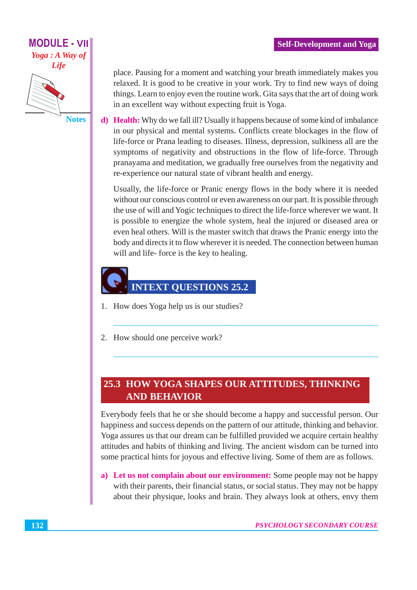

**MODULE - VII** 

**Notes** 

place. Pausing for a moment and watching your breath immediately makes you relaxed. It is good to be creative in your work. Try to find new ways of doing things. Learn to enjoy even the routine work. Gita says that the art of doing work in an excellent way without expecting fruit is Yoga.

**d**) Health: Why do we fall ill? Usually it happens because of some kind of imbalance in our physical and mental systems. Conflicts create blockages in the flow of life-force or Prana leading to diseases. Illness, depression, sulkiness all are the symptoms of negativity and obstructions in the flow of life-force. Through pranayama and meditation, we gradually free ourselves from the negativity and re-experience our natural state of vibrant health and energy.

Usually, the life-force or Pranic energy flows in the body where it is needed without our conscious control or even awareness on our part. It is possible through the use of will and Yogic techniques to direct the life-force wherever we want. It is possible to energize the whole system, heal the injured or diseased area or even heal others. Will is the master switch that draws the Pranic energy into the body and directs it to flow wherever it is needed. The connection between human will and life-force is the key to healing.

# **INTEXT QUESTIONS 25.2**

- 1. How does Yoga help us is our studies?
- 2. How should one perceive work?

#### 25.3 HOW YOGA SHAPES OUR ATTITUDES, THINKING **AND BEHAVIOR**

Everybody feels that he or she should become a happy and successful person. Our happiness and success depends on the pattern of our attitude, thinking and behavior. Yoga assures us that our dream can be fulfilled provided we acquire certain healthy attitudes and habits of thinking and living. The ancient wisdom can be turned into some practical hints for joyous and effective living. Some of them are as follows.

a) Let us not complain about our environment: Some people may not be happy with their parents, their financial status, or social status. They may not be happy about their physique, looks and brain. They always look at others, envy them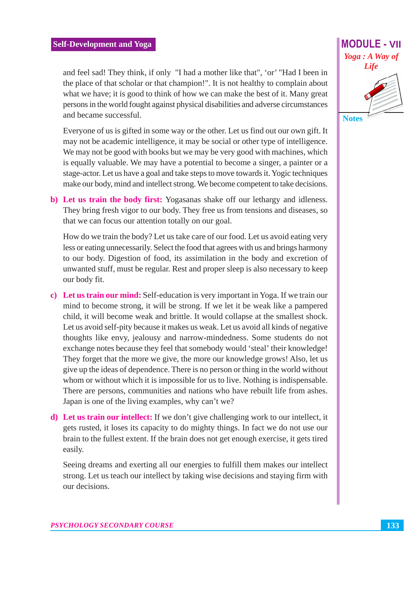and feel sad! They think, if only "I had a mother like that", 'or' "Had I been in the place of that scholar or that champion!". It is not healthy to complain about what we have; it is good to think of how we can make the best of it. Many great persons in the world fought against physical disabilities and adverse circumstances and became successful.

Everyone of us is gifted in some way or the other. Let us find out our own gift. It may not be academic intelligence, it may be social or other type of intelligence. We may not be good with books but we may be very good with machines, which is equally valuable. We may have a potential to become a singer, a painter or a stage-actor. Let us have a goal and take steps to move towards it. Yogic techniques make our body, mind and intellect strong. We become competent to take decisions.

b) Let us train the body first: Yogasanas shake off our lethargy and idleness. They bring fresh vigor to our body. They free us from tensions and diseases, so that we can focus our attention totally on our goal.

How do we train the body? Let us take care of our food. Let us avoid eating very less or eating unnecessarily. Select the food that agrees with us and brings harmony to our body. Digestion of food, its assimilation in the body and excretion of unwanted stuff, must be regular. Rest and proper sleep is also necessary to keep our body fit.

- c) Let us train our mind: Self-education is very important in Yoga. If we train our mind to become strong, it will be strong. If we let it be weak like a pampered child, it will become weak and brittle. It would collapse at the smallest shock. Let us avoid self-pity because it makes us weak. Let us avoid all kinds of negative thoughts like envy, jealousy and narrow-mindedness. Some students do not exchange notes because they feel that somebody would 'steal' their knowledge! They forget that the more we give, the more our knowledge grows! Also, let us give up the ideas of dependence. There is no person or thing in the world without whom or without which it is impossible for us to live. Nothing is indispensable. There are persons, communities and nations who have rebuilt life from ashes. Japan is one of the living examples, why can't we?
- d) Let us train our intellect: If we don't give challenging work to our intellect, it gets rusted, it loses its capacity to do mighty things. In fact we do not use our brain to the fullest extent. If the brain does not get enough exercise, it gets tired easily.

Seeing dreams and exerting all our energies to fulfill them makes our intellect strong. Let us teach our intellect by taking wise decisions and staying firm with our decisions.

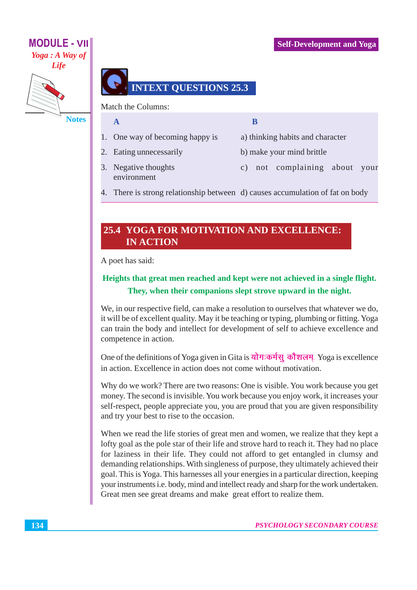#### **Self-Development and Yoga**

### **MODULE - VII** Yoga : A Way of



**Notes** 

### **INTEXT QUESTIONS 25.3**

Match the Columns:

 $\mathbf{A}$ 

- 1. One way of becoming happy is
- 2. Eating unnecessarily
- $\overline{\mathbf{B}}$
- a) thinking habits and character
- b) make your mind brittle
- 3. Negative thoughts environment
- c) not complaining about your
- 4. There is strong relationship between d) causes accumulation of fat on body

#### 25.4 YOGA FOR MOTIVATION AND EXCELLENCE: **IN ACTION**

A poet has said:

#### Heights that great men reached and kept were not achieved in a single flight. They, when their companions slept strove upward in the night.

We, in our respective field, can make a resolution to ourselves that whatever we do, it will be of excellent quality. May it be teaching or typing, plumbing or fitting. Yoga can train the body and intellect for development of self to achieve excellence and competence in action.

One of the definitions of Yoga given in Gita is योग:कर्मसु कौशलम्. Yoga is excellence in action. Excellence in action does not come without motivation.

Why do we work? There are two reasons: One is visible. You work because you get money. The second is invisible. You work because you enjoy work, it increases your self-respect, people appreciate you, you are proud that you are given responsibility and try your best to rise to the occasion.

When we read the life stories of great men and women, we realize that they kept a lofty goal as the pole star of their life and strove hard to reach it. They had no place for laziness in their life. They could not afford to get entangled in clumsy and demanding relationships. With singleness of purpose, they ultimately achieved their goal. This is Yoga. This harnesses all your energies in a particular direction, keeping your instruments i.e. body, mind and intellect ready and sharp for the work undertaken. Great men see great dreams and make great effort to realize them.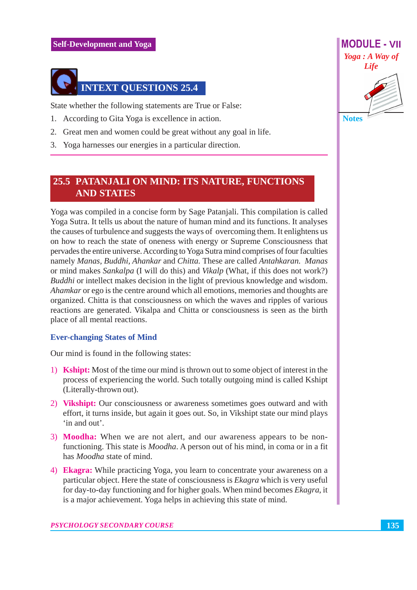

State whether the following statements are True or False:

- 1. According to Gita Yoga is excellence in action.
- 2. Great men and women could be great without any goal in life.
- 3. Yoga harnesses our energies in a particular direction.

#### **25.5 PATANJALI ON MIND: ITS NATURE, FUNCTIONS AND STATES**

Yoga was compiled in a concise form by Sage Pataniali. This compilation is called Yoga Sutra. It tells us about the nature of human mind and its functions. It analyses the causes of turbulence and suggests the ways of overcoming them. It enlightens us on how to reach the state of oneness with energy or Supreme Consciousness that pervades the entire universe. According to Yoga Sutra mind comprises of four faculties namely Manas, Buddhi, Ahankar and Chitta. These are called Antahkaran. Manas or mind makes Sankalpa (I will do this) and Vikalp (What, if this does not work?) *Buddhi* or intellect makes decision in the light of previous knowledge and wisdom. Ahamkar or ego is the centre around which all emotions, memories and thoughts are organized. Chitta is that consciousness on which the waves and ripples of various reactions are generated. Vikalpa and Chitta or consciousness is seen as the birth place of all mental reactions.

#### **Ever-changing States of Mind**

Our mind is found in the following states:

- 1) **Kshipt:** Most of the time our mind is thrown out to some object of interest in the process of experiencing the world. Such totally outgoing mind is called Kshipt (Literally-thrown out).
- 2) Vikshipt: Our consciousness or awareness sometimes goes outward and with effort, it turns inside, but again it goes out. So, in Vikshipt state our mind plays 'in and out'.
- 3) Moodha: When we are not alert, and our awareness appears to be nonfunctioning. This state is *Moodha*. A person out of his mind, in coma or in a fit has *Moodha* state of mind.
- 4) Ekagra: While practicing Yoga, you learn to concentrate your awareness on a particular object. Here the state of consciousness is *Ekagra* which is very useful for day-to-day functioning and for higher goals. When mind becomes *Ekagra*, it is a major achievement. Yoga helps in achieving this state of mind.

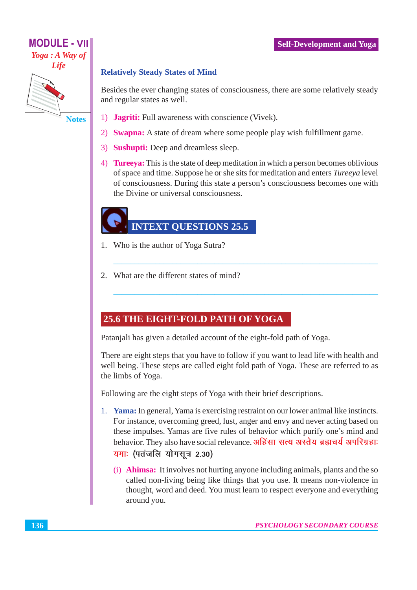#### **Self-Development and Yoga**

# **MODULE - VII** Yoga: A Way of **Life**

**Notes** 

#### **Relatively Steady States of Mind**

Besides the ever changing states of consciousness, there are some relatively steady and regular states as well.

- 1) **Jagriti:** Full awareness with conscience (Vivek).
- 2) Swapna: A state of dream where some people play wish fulfillment game.
- 3) Sushupti: Deep and dreamless sleep.
- 4) Tureeya: This is the state of deep meditation in which a person becomes oblivious of space and time. Suppose he or she sits for meditation and enters Tureeya level of consciousness. During this state a person's consciousness becomes one with the Divine or universal consciousness.

### **INTEXT QUESTIONS 25.5**

- 1. Who is the author of Yoga Sutra?
- 2. What are the different states of mind?

#### 25.6 THE EIGHT-FOLD PATH OF YOGA

Patanjali has given a detailed account of the eight-fold path of Yoga.

There are eight steps that you have to follow if you want to lead life with health and well being. These steps are called eight fold path of Yoga. These are referred to as the limbs of Yoga.

Following are the eight steps of Yoga with their brief descriptions.

- 1. Yama: In general, Yama is exercising restraint on our lower animal like instincts. For instance, overcoming greed, lust, anger and envy and never acting based on these impulses. Yamas are five rules of behavior which purify one's mind and behavior. They also have social relevance. अहिंसा सत्य अस्तेय ब्रह्मचर्य अपरिग्रहाः यमाः (पतंजलि योगसूत्र 2.30)
	- (i) **Ahimsa:** It involves not hurting anyone including animals, plants and the so called non-living being like things that you use. It means non-violence in thought, word and deed. You must learn to respect everyone and everything around you.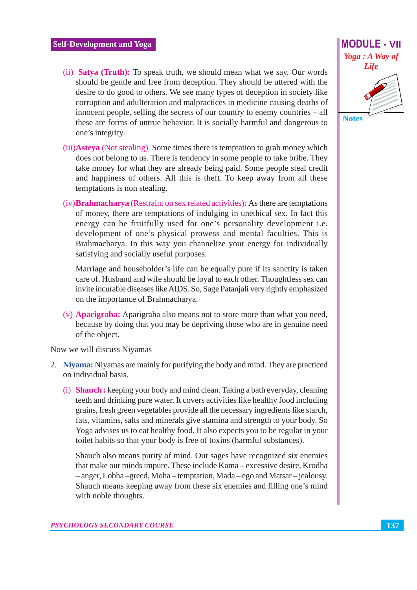- (ii) **Satya (Truth):** To speak truth, we should mean what we say. Our words should be gentle and free from deception. They should be uttered with the desire to do good to others. We see many types of deception in society like corruption and adulteration and malpractices in medicine causing deaths of innocent people, selling the secrets of our country to enemy countries – all these are forms of untrue behavior. It is socially harmful and dangerous to one's integrity.
- (iii) Asteya (Not stealing). Some times there is temptation to grab money which does not belong to us. There is tendency in some people to take bribe. They take money for what they are already being paid. Some people steal credit and happiness of others. All this is theft. To keep away from all these temptations is non stealing.
- (iv) **Brahmacharya** (Restraint on sex related activities): As there are temptations of money, there are temptations of indulging in unethical sex. In fact this energy can be fruitfully used for one's personality development *i.e.* development of one's physical prowess and mental faculties. This is Brahmacharya. In this way you channelize your energy for individually satisfying and socially useful purposes.

Marriage and householder's life can be equally pure if its sanctity is taken care of. Husband and wife should be loyal to each other. Thoughtless sex can invite incurable diseases like AIDS, So, Sage Pataniali very rightly emphasized on the importance of Brahmacharya.

(v) **Aparigraha:** Aparigraha also means not to store more than what you need, because by doing that you may be depriving those who are in genuine need of the object.

Now we will discuss Niyamas

- 2. Nivama: Nivamas are mainly for purifying the body and mind. They are practiced on individual basis.
	- (i) **Shauch**: keeping your body and mind clean. Taking a bath everyday, cleaning teeth and drinking pure water. It covers activities like healthy food including grains, fresh green vegetables provide all the necessary ingredients like starch, fats, vitamins, salts and minerals give staming and strength to your body. So Yoga advises us to eat healthy food. It also expects you to be regular in your toilet habits so that your body is free of toxins (harmful substances).

Shauch also means purity of mind. Our sages have recognized six enemies that make our minds impure. These include Kama – excessive desire, Krodha - anger, Lobha - greed, Moha - temptation, Mada - ego and Matsar - jealousy. Shauch means keeping away from these six enemies and filling one's mind with noble thoughts.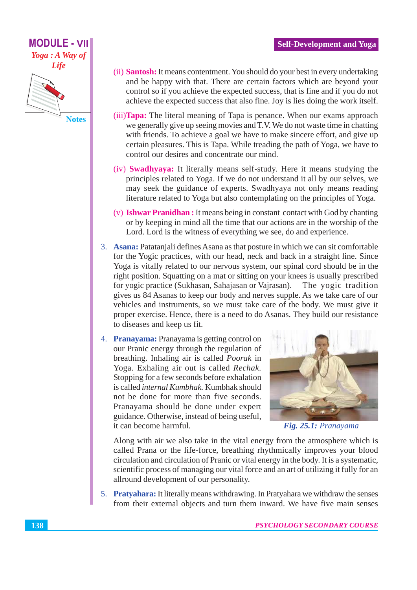

- **Notes**
- (ii) **Santosh:** It means contentment. You should do your best in every undertaking and be happy with that. There are certain factors which are beyond your control so if you achieve the expected success, that is fine and if you do not achieve the expected success that also fine. Joy is lies doing the work itself.
- (iii) **Tapa:** The literal meaning of Tapa is penance. When our exams approach we generally give up seeing movies and T.V. We do not waste time in chatting with friends. To achieve a goal we have to make sincere effort, and give up certain pleasures. This is Tapa. While treading the path of Yoga, we have to control our desires and concentrate our mind.
- (iv) **Swadhyaya:** It literally means self-study. Here it means studying the principles related to Yoga. If we do not understand it all by our selves, we may seek the guidance of experts. Swadhyaya not only means reading literature related to Yoga but also contemplating on the principles of Yoga.
- (v) **Ishwar Pranidhan:** It means being in constant contact with God by chanting or by keeping in mind all the time that our actions are in the worship of the Lord. Lord is the witness of everything we see, do and experience.
- 3. Asana: Patatanjali defines Asana as that posture in which we can sit comfortable for the Yogic practices, with our head, neck and back in a straight line. Since Yoga is vitally related to our nervous system, our spinal cord should be in the right position. Squatting on a mat or sitting on your knees is usually prescribed for yogic practice (Sukhasan, Sahajasan or Vajrasan). The yogic tradition gives us 84 Asanas to keep our body and nerves supple. As we take care of our vehicles and instruments, so we must take care of the body. We must give it proper exercise. Hence, there is a need to do Asanas. They build our resistance to diseases and keep us fit.
- 4. Pranayama: Pranayama is getting control on our Pranic energy through the regulation of breathing. Inhaling air is called *Poorak* in Yoga. Exhaling air out is called Rechak. Stopping for a few seconds before exhalation is called *internal Kumbhak*. Kumbhak should not be done for more than five seconds. Pranayama should be done under expert guidance. Otherwise, instead of being useful, it can become harmful.



Fig. 25.1: Pranayama

Along with air we also take in the vital energy from the atmosphere which is called Prana or the life-force, breathing rhythmically improves your blood circulation and circulation of Pranic or vital energy in the body. It is a systematic, scientific process of managing our vital force and an art of utilizing it fully for an allround development of our personality.

5. Pratyahara: It literally means withdrawing. In Pratyahara we withdraw the senses from their external objects and turn them inward. We have five main senses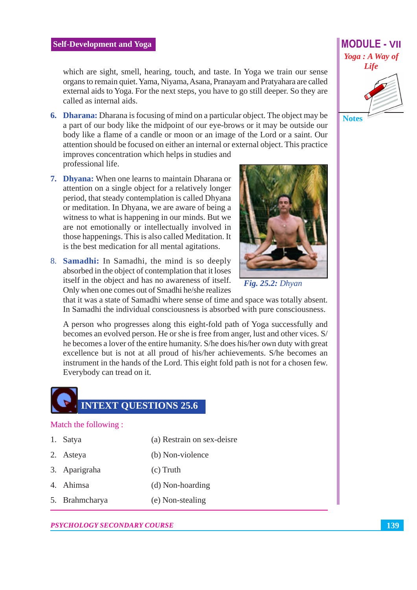which are sight, smell, hearing, touch, and taste. In Yoga we train our sense organs to remain quiet. Yama, Niyama, Asana, Pranayam and Pratyahara are called external aids to Yoga. For the next steps, you have to go still deeper. So they are called as internal aids.

- **6. Dharana:** Dharana is focusing of mind on a particular object. The object may be a part of our body like the midpoint of our eye-brows or it may be outside our body like a flame of a candle or moon or an image of the Lord or a saint. Our attention should be focused on either an internal or external object. This practice improves concentration which helps in studies and professional life.
- 7. Dhyana: When one learns to maintain Dharana or attention on a single object for a relatively longer period, that steady contemplation is called Dhyana or meditation. In Dhyana, we are aware of being a witness to what is happening in our minds. But we are not emotionally or intellectually involved in those happenings. This is also called Meditation. It is the best medication for all mental agitations.
- 8. Samadhi: In Samadhi, the mind is so deeply absorbed in the object of contemplation that it loses itself in the object and has no awareness of itself. Only when one comes out of Smadhi he/she realizes



**Fig. 25.2: Dhyan** 

that it was a state of Samadhi where sense of time and space was totally absent. In Samadhi the individual consciousness is absorbed with pure consciousness.

A person who progresses along this eight-fold path of Yoga successfully and becomes an evolved person. He or she is free from anger, lust and other vices. S/ he becomes a lover of the entire humanity. S/he does his/her own duty with great excellence but is not at all proud of his/her achievements. S/he becomes an instrument in the hands of the Lord. This eight fold path is not for a chosen few. Everybody can tread on it.

# **INTEXT QUESTIONS 25.6**

#### Match the following:

- 1. Satya (a) Restrain on sex-deisre
- 2. Asteya (b) Non-violence
- 3. Aparigraha  $(c)$  Truth
- 4. Ahimsa (d) Non-hoarding
- 5. Brahmcharya (e) Non-stealing

#### **PSYCHOLOGY SECONDARY COURSE**

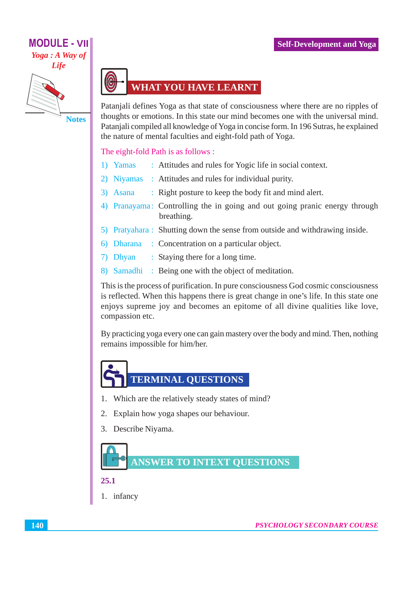### **MODULE - VII** Yoga : A Way of Life



**Notes** 

# **WHAT YOU HAVE LEARNT**

Patanjali defines Yoga as that state of consciousness where there are no ripples of thoughts or emotions. In this state our mind becomes one with the universal mind. Patanjali compiled all knowledge of Yoga in concise form. In 196 Sutras, he explained the nature of mental faculties and eight-fold path of Yoga.

#### The eight-fold Path is as follows :

- 1) Yamas : Attitudes and rules for Yogic life in social context.
- 2) Niyamas: Attitudes and rules for individual purity.
- 3) Asana : Right posture to keep the body fit and mind alert.
- 4) Pranayama: Controlling the in going and out going pranic energy through breathing.
- 5) Pratyahara: Shutting down the sense from outside and withdrawing inside.
- 6) Dharana : Concentration on a particular object.
- 7) Dhyan : Staying there for a long time.
- 8) Samadhi: Being one with the object of meditation.

This is the process of purification. In pure consciousness God cosmic consciousness is reflected. When this happens there is great change in one's life. In this state one enjoys supreme joy and becomes an epitome of all divine qualities like love, compassion etc.

By practicing yoga every one can gain mastery over the body and mind. Then, nothing remains impossible for him/her.



- 1. Which are the relatively steady states of mind?
- 2. Explain how yoga shapes our behaviour.
- 3. Describe Niyama.



#### 25.1

1. infancy